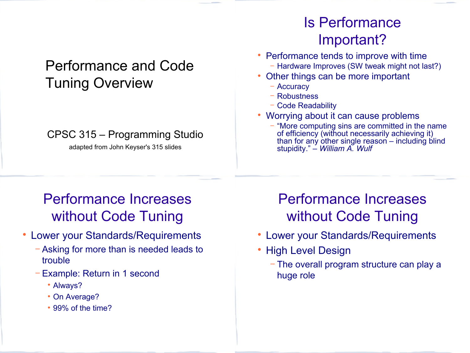### Performance and Code Tuning Overview

#### CPSC 315 – Programming Studio

adapted from John Keyser's 315 slides

## Is Performance Important?

- Performance tends to improve with time − Hardware Improves (SW tweak might not last?)
- Other things can be more important
	- − Accuracy
	- − Robustness
	- − Code Readability
- Worrying about it can cause problems
	- − "More computing sins are committed in the name of efficiency (without necessarily achieving it) than for any other single reason – including blind stupidity." – *William A. Wulf*

# Performance Increases without Code Tuning

- Lower your Standards/Requirements
	- − Asking for more than is needed leads to trouble
	- − Example: Return in 1 second
		- Always?
		- On Average?
		- 99% of the time?

# Performance Increases without Code Tuning

- Lower your Standards/Requirements
- High Level Design
	- − The overall program structure can play a huge role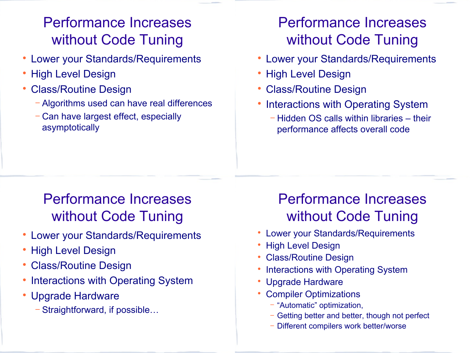# Performance Increases without Code Tuning

- Lower your Standards/Requirements
- High Level Design
- Class/Routine Design
	- − Algorithms used can have real differences
	- − Can have largest effect, especially asymptotically

# Performance Increases without Code Tuning

- Lower your Standards/Requirements
- High Level Design
- Class/Routine Design
- Interactions with Operating System
	- − Hidden OS calls within libraries their performance affects overall code

# Performance Increases without Code Tuning

- Lower your Standards/Requirements
- High Level Design
- Class/Routine Design
- Interactions with Operating System
- Upgrade Hardware
	- − Straightforward, if possible…

# Performance Increases without Code Tuning

- Lower your Standards/Requirements
- High Level Design
- Class/Routine Design
- Interactions with Operating System
- Upgrade Hardware
- Compiler Optimizations
	- − "Automatic" optimization,
	- − Getting better and better, though not perfect
	- − Different compilers work better/worse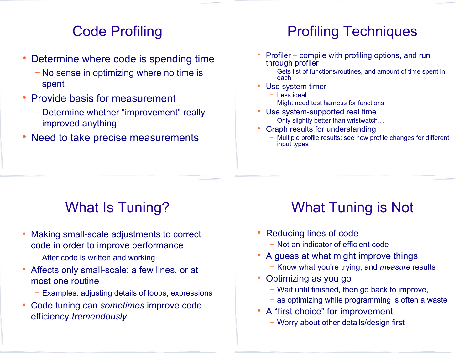#### Code Profiling

- Determine where code is spending time
	- − No sense in optimizing where no time is spent
- Provide basis for measurement
	- − Determine whether "improvement" really improved anything
- Need to take precise measurements

#### Profiling Techniques

- Profiler compile with profiling options, and run through profiler
	- − Gets list of functions/routines, and amount of time spent in each
- Use system timer
	- − Less ideal
	- − Might need test harness for functions
- Use system-supported real time
	- − Only slightly better than wristwatch…
- Graph results for understanding
	- − Multiple profile results: see how profile changes for different input types

# What Is Tuning?

- Making small-scale adjustments to correct code in order to improve performance
	- − After code is written and working
- Affects only small-scale: a few lines, or at most one routine
	- − Examples: adjusting details of loops, expressions
- Code tuning can *sometimes* improve code efficiency *tremendously*

# What Tuning is Not

- Reducing lines of code
	- − Not an indicator of efficient code
- A guess at what might improve things
	- − Know what you're trying, and *measure* results
- Optimizing as you go
	- − Wait until finished, then go back to improve,
	- as optimizing while programming is often a waste
- A "first choice" for improvement
	- − Worry about other details/design first